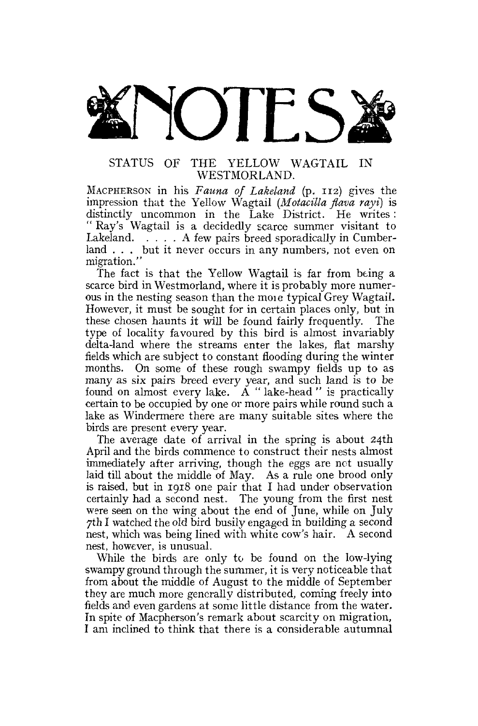

## STATUS OF THE YELLOW WAGTAIL IN WESTMORLAND.

MACPHERSON in his *Fauna of Lakeland* (p. 112) gives the impression that the Yellow Wagtail *(Moiacilla flava rayi)* is distinctly uncommon in the Lake District. He writes: " Ray's Wagtail is a decidedly scarce summer visitant to Lakeland.  $\ldots$  A few pairs breed sporadically in Cumberland . . . but it never occurs in any numbers, not even on migration."

The fact is that the Yellow Wagtail is far from being a scarce bird in Westmorland, where it is probably more numerous in the nesting season than the moie typical Grey Wagtail. However, it must be sought for in certain places only, but in these chosen haunts it will be found fairly frequently. The type of locality favoured by this bird is almost invariably delta-land where the streams enter the lakes, flat marshy fields which are subject to constant flooding during the winter months. On some of these rough swampy fields up to as many as six pairs breed every year, and such land is to be found on almost every lake.  $A$  " lake-head " is practically certain to be occupied by one or more pairs while round such a lake as Windermere there are many suitable sites where the birds are present every year.

The average date of arrival in the spring is about 24th April and the birds commence to construct their nests almost immediately after arriving, though the eggs are not usually laid till about the middle of May. As a rule one brood only is raised, but in 1918 one pair that I had under observation certainly had a second nest. The young from the first nest were seen on the wing about the end of June, while on July 7th I watched the old bird busily engaged in building a second nest, which was being lined with white cow's hair. A second nest, however, is unusual.

While the birds are only to be found on the low-lying swampy ground through the summer, it is very noticeable that from about the middle of August to the middle of September they are much more generally distributed, coming freely into fields and even gardens at some little distance from the water. In spite of Macpherson's remark about scarcity on migration, I am inclined to think that there is a considerable autumnal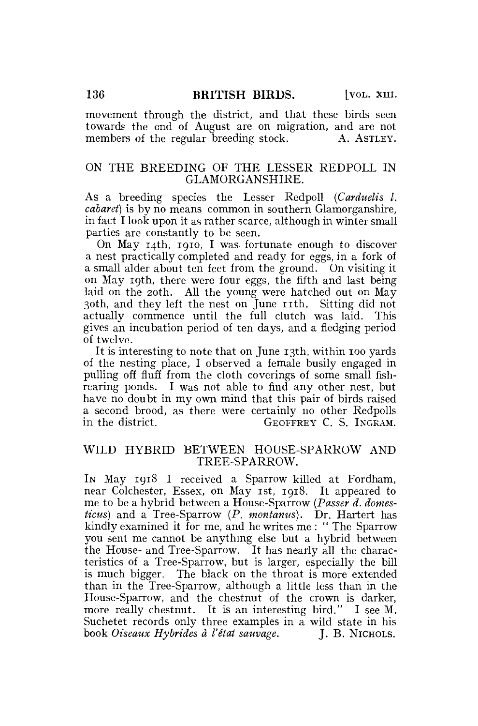movement through the district, and that these birds seen towards the end of August are on migration, and are not members of the regular breeding stock. A. ASTLEY.

#### ON THE BREEDING OF THE LESSER REDPOLL IN GLAMORGANSHIRE.

As a breeding species the Lesser Redpoll *(Carduelis I. cabaret)* is by no means common in southern Glamorganshire, in fact I look upon it as rather scarce, although in winter small parties are constantly to be seen.

On May 14th, 1910, I was fortunate enough to discover a nest practically completed and ready for eggs, in a fork of a small alder about ten feet from the ground. On visiting it on May 19th, there were four eggs, the fifth and last being laid on the 20th. All the young were hatched out on May 30th, and they left the nest on June 11th. Sitting did not actually commence until the full clutch was laid. This gives an incubation period of ten days, and a fledging period of twelve.

It is interesting to note that on June 13th, within 100 yards of the nesting place, I observed a female busily engaged in pulling off fluff from the cloth coverings of some small fishrearing ponds. I was not able to find any other nest, but have no doubt in my own mind that this pair of birds raised a second brood, as there were certainly no other Redpolls in the district. GEOFFREY C. S. INGRAM.

## WILD HYBRID BETWEEN HOUSE-SPARROW AND TREE-SPARROW.

IN May 1918 I received a Sparrow killed at Fordham, near Colchester, Essex, on May 1st, 1918. It appeared to me to be a hybrid between a House-Sparrow *(Passer d. domesticus)* and a Tree-Sparrow *(P. montanus).* Dr. Hartert has kindly examined it for me, and he writes me : " The Sparrow you sent me cannot be anything else but a hybrid between the House- and Tree-Sparrow. It has nearly all the characteristics of a Tree-Sparrow, but is larger, especially the bill is much bigger. The black on the throat is more extended than in the Tree-Sparrow, although a little less than in the House-Sparrow, and the chestnut of the crown is darker, more really chestnut. It is an interesting bird." I see M. Suchetet records only three examples in a wild state in his book *Oiseaux Hybrides à l'état sauvage*. **J. B. NICHOLS.**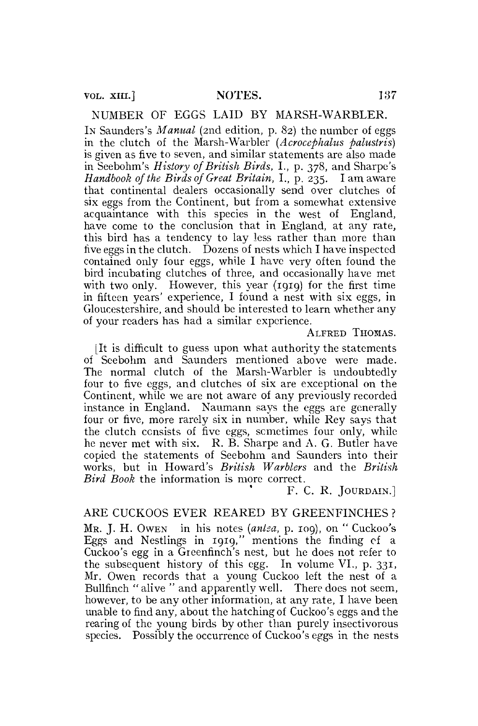NUMBER OF EGGS LAID BY MARSH-WARBLER.

IN Saunders's *Manual* (2nd edition, p. 82) the number of eggs in the clutch of the Marsh-War bier *(Acrocephalus palustris)*  is given as five to seven, and similar statements are also made in Seebohm's *History of British Birds,* I., p. 378, and Sharpe's *Handbook of the Birds of Great Britain,* I., p. 235. I am aware that continental dealers occasionally send over clutches of six eggs from the Continent, but from a somewhat extensive acquaintance with this species in the west of England, have come to the conclusion that in England, at any rate, this bird has a tendency to lay less rather than more than five eggs in the clutch. Dozens of nests which I have inspected contained only four eggs, while I have very often found the bird incubating clutches of three, and occasionally have met with two only. However, this year (1919) for the first time in fifteen years' experience, I found a nest with six eggs, in Gloucestershire, and should be interested to learn whether any of your readers has had a similar experience.

ALFRED THOMAS.

[It is difficult to guess upon what authority the statements of Seebohm and Saunders mentioned above were made. The normal clutch of the Marsh-Warbler is undoubtedly four to five eggs, and clutches of six are exceptional on the Continent, while we are not aware of any previously recorded instance in England. Naumann says the eggs are generally four or five, more rarely six in number, while Rey says that the clutch consists of five eggs, sometimes four only, while he never met with six. R. B. Sharpe and A. G. Butler have copied the statements of Seebohm and Saunders into their works, but in Howard's *British Warblers* and the *British Bird Book* the information is more correct.

F. C. R. JOURDAIN.]

## ARE CUCKOOS EVER REARED BY GREENFINCHES ?

MR. J. H. OWEN in his notes *(anlsa,* p. 109), on " Cuckoo's Eggs and Nestlings in 1919," mentions the finding ef a Cuckoo's egg in a Greenfinch's nest, but he does not refer to the subsequent history of this egg. In volume VI., p. 331, Mr. Owen records that a young Cuckoo left the nest of a Bullfinch " alive " and apparently well. There does not seem, however, to be any other information, at any rate, I have been unable to find any, about the hatching of Cuckoo's eggs and the rearing of the young birds by other than purely insectivorous species. Possibly the occurrence of Cuckoo's eggs in the nests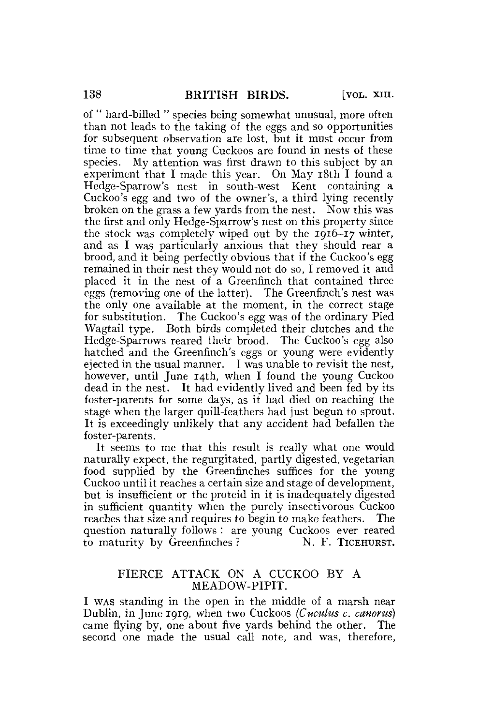of " hard-billed " species being somewhat unusual, more often than not leads to the taking of the eggs and so opportunities for subsequent observation are lost, but it must occur from time to time that young Cuckoos are found in nests of these species. My attention was first drawn to this subject by an experiment that I made this year. On May 18th I found a Hedge-Sparrow's nest in south-west Kent containing a Cuckoo's egg and two of the owner's, a third lying recently broken on the grass a few yards from the nest. Now this was the first and only Hedge-Sparrow's nest on this property since the stock was completely wiped out by the 1916-17 winter, and as I was particularly anxious that they should rear a brood, and it being perfectly obvious that if the Cuckoo's egg remained in their nest they would not do so, I removed it and placed it in the nest of a Greenfinch that contained three eggs (removing one of the latter). The Greenfinch's nest was the only one available at the moment, in the correct stage for substitution. The Cuckoo's egg was of the ordinary Pied Wagtail type. Both birds completed their clutches and the Hedge-Sparrows reared their brood. The Cuckoo's egg also hatched and the Greenfinch's eggs or young were evidently ejected in the usual manner. I was unable to revisit the nest, however, until June 14th, when I found the young Cuckoo dead in the nest. It had evidently lived and been fed by its foster-parents for some days, as it had died on reaching the stage when the larger quill-feathers had just begun to sprout. It is exceedingly unlikely that any accident had befallen the foster-parents.

It seems to me that this result is really what one would naturally expect, the regurgitated, partly digested, vegetarian food supplied by the Greenfinches suffices for the young Cuckoo until it reaches a certain size and stage of development, but is insufficient or the proteid in it is inadequately digested in sufficient quantity when the purely insectivorous Cuckoo reaches that size and requires to begin to make feathers. The question naturally follows : are young Cuckoos ever reared to maturity by Greenfinches? N. F. TICEHURST.

## FIERCE ATTACK ON A CUCKOO BY A MEADOW-PIPIT.

I WAS standing in the open in the middle of a marsh near Dublin, in June 1919, when two Cuckoos *(Cuculus c. canorus)*  came flying by, one about five yards behind the other. The second one made the usual call note, and was, therefore,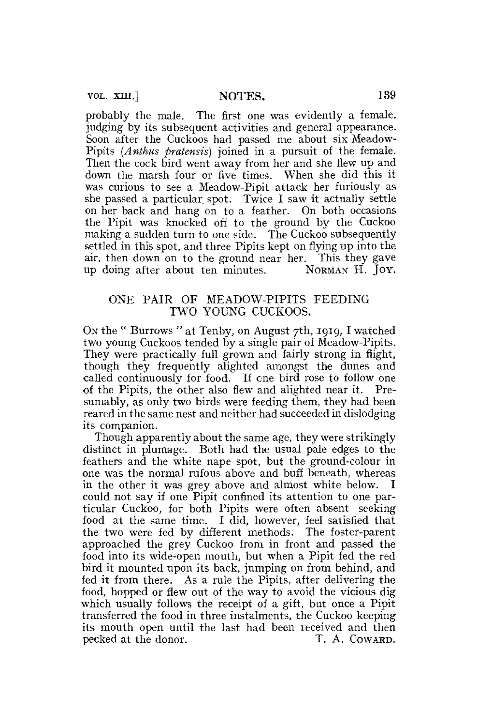VOL. XIII.] NOTES. 139

probably the male. The first one was evidently a female, judging by its subsequent activities and general appearance. Soon after the Cuckoos had passed me about six Meadow-Pipits *(Anthus pratensis)* joined in a pursuit of the female. Then the cock bird went away from her and she flew up and down the marsh four or five times. When she did this it was curious to see a Meadow-Pipit attack her furiously as she passed a particular, spot. Twice I saw it actually settle on her back and hang on to a feather. On both occasions the Pipit was knocked off to the ground by the Cuckoo making a sudden turn to one side. The Cuckoo subsequently settled in this spot, and three Pipits kept on flying up into the air, then down on to the ground near her. This they gave up doing after about ten minutes. NORMAN H. JOY.

## ONE PAIR OF MEADOW-PIPITS FEEDING TWO YOUNG CUCKOOS.

ON the " Burrows " at Tenby, on August 7th, 1919, I watched two young Cuckoos tended by a single pair of Meadow-Pipits. They were practically full grown and fairly strong in flight, though they frequently alighted amongst the dunes and called continuously for food. If one bird rose to follow one of the Pipits, the other also flew and alighted near it. Presumably, as only two birds were feeding them, they had been reared in the same nest and neither had succeeded in dislodging its companion.

Though apparently about the same age, they were strikingly distinct in plumage. Both had the usual pale edges to the feathers and the white nape spot, but the ground-colour in one was the normal rufous above and buff beneath, whereas in the other it was grey above and almost white below. I could not say if one Pipit confined its attention to one particular Cuckoo, for both Pipits were often absent seeking food at the same time. I did, however, feel satisfied that the two were fed by different methods. The foster-parent approached the grey Cuckoo from in front and passed the food into its wide-open mouth, but when a Pipit fed the red bird it mounted upon its back, jumping on from behind, and fed it from there. As a rule the Pipits, after delivering the food, hopped or flew out of the way to avoid the vicious dig which usually follows the receipt of a gift, but once a Pipit transferred the food in three instalments, the Cuckoo keeping its mouth open until the last had been received and then pecked at the donor. T. A. COWARD.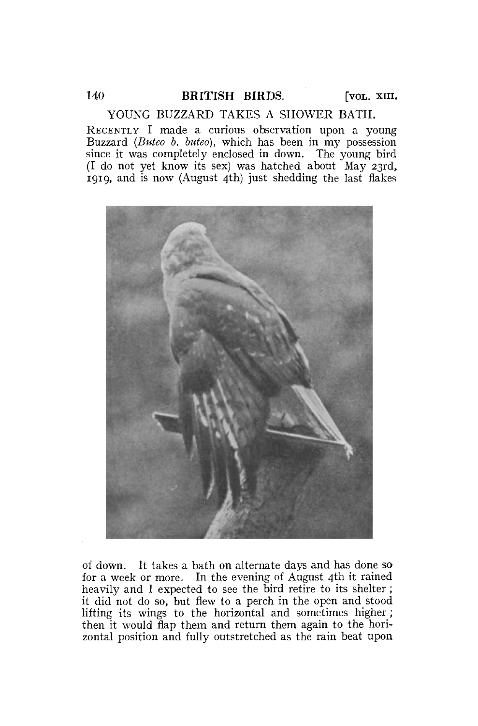YOUNG BUZZARD TAKES A SHOWER BATH.

RECENTLY I made a curious observation upon a young Buzzard *(Buteo b. buteo),* which has been in my possession since it was completely enclosed in down. The young bird (I do not yet know its sex) was hatched about May 23rd, 1919, and is now (August 4th) just shedding the last flakes



of down. It takes a bath on alternate days and has done so for a week or more. In the evening of August 4th it rained heavily and I expected to see the bird retire to its shelter; it did not do so, but flew to a perch in the open and stood lifting its wings to the horizontal and sometimes higher ; then it would flap them and return them again to the horizontal position and fully outstretched as the rain beat upon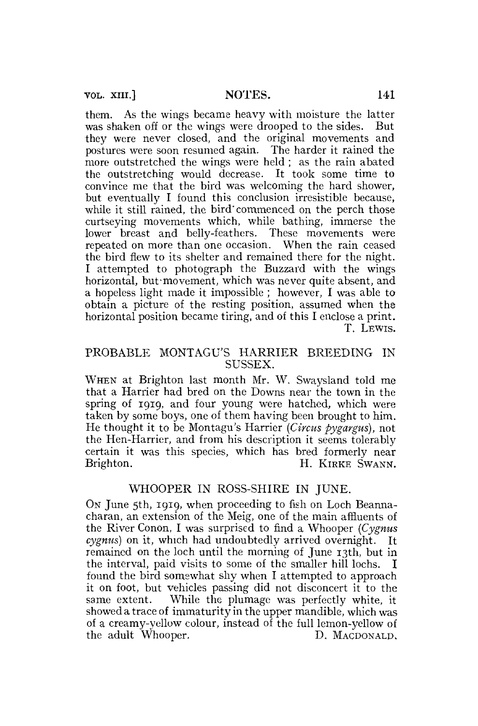them. As the wings became heavy with moisture the latter was shaken off or the wings were drooped to the sides. But they were never closed, and the original movements and postures were soon resumed again. The harder it rained the more outstretched the wings were held ; as the rain abated the outstretching would decrease. It took some time to convince me that the bird was welcoming the hard shower, but eventually I found this conclusion irresistible because, while it still rained, the bird'commenced on the perch those curtseying movements which, while bathing, immerse the lower breast and belly-feathers. These movements were repeated on more than one occasion. When the rain ceased the bird flew to its shelter and remained there for the night. I attempted to photograph the Buzzard with the wings horizontal, but movement, which was never quite absent, and a hopeless light made it impossible ; however, I was able to obtain a picture of the resting position, assumed when the horizontal position became tiring, and of this I enclose a print. T. LEWIS.

## PROBABLE MONTAGU'S HARRIER BREEDING IN SUSSEX.

WHEN at Brighton last month Mr. W. Swaysland told me that a Harrier had bred on the Downs near the town in the spring of 1919, and four young were hatched, which were taken by some boys, one of them having been brought to him. He thought it to be Montagu's Harrier *{Circus pygargus),* not the Hen-Harrier, and from his description it seems tolerably certain it was this species, which has bred formerly near<br>Brighton. H. KIRKE SWANN. H. KIRKE SWANN.

# WHOOPER IN ROSS-SHIRE IN JUNE.

ON June 5th, 1919, when proceeding to fish on Loch Beannacharan, an extension of the Meig, one of the main affluents of the River Conon, I was surprised to find a Whooper *(Cygnus cygnus)* on it, which had undoubtedly arrived overnight. It remained on the loch until the morning of June 13th, but in the interval, paid visits to some of the smaller hill lochs. I found the bird somewhat shy when I attempted to approach it on foot, but vehicles passing did not disconcert it to the same extent. While the plumage was perfectly white, it showed a trace of immaturity in the upper mandible, which was of a creamy-yellow colour, instead of the full lemon-yellow of the adult Whooper. D. MACDONALD.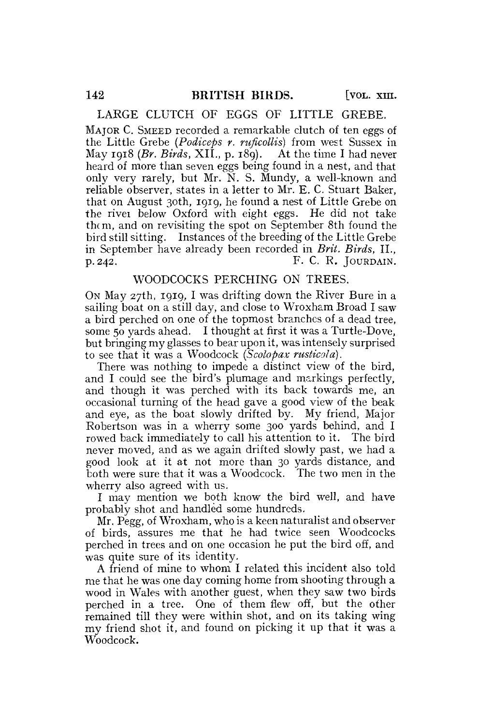#### LARGE CLUTCH OF EGGS OF LITTLE GREBE.

MAJOR C. SMEED recorded a remarkable clutch of ten eggs of the Little Grebe *(Podiceps r. ruficollis)* from west Sussex in May 1918 *{Br. Birds,* XII., p. 189). At the time I had never heard of more than seven eggs being found in a nest, and that only very rarely, but Mr. N. S. Mundy, a well-known and reliable observer, states in a letter to Mr. E. C. Stuart Baker, that on August 30th, 1919, he found a nest of Little Grebe on the rivei below Oxford with eight eggs. He did not take them, and on revisiting the spot on September 8th found the bird still sitting. Instances of the breeding of the Little Grebe in September have already been recorded in *Brit. Birds,* II.,  $p. 242.$  F. C. R. JOURDAIN.

#### WOODCOCKS PERCHING ON TREES.

ON May 27th, 1919, I was drifting down the River Bure in a sailing boat on a still day, and close to Wroxham Broad I saw a bird perched on one of the topmost branches of a dead tree, some 50 yards ahead. I thought at first it was a Turtle-Dove, but bringing my glasses to bear upon it, was intensely surprised to see that it was a Woodcock (Scolopax rusticola).

There was nothing to impede a distinct view of the bird, and I could see the bird's plumage and markings perfectly, and though it was perched with its back towards me, an occasional turning of the head gave a good view of the beak and eye, as the boat slowly drifted by. My friend, Major Robertson was in a wherry some 300 yards behind, and I rowed back immediately to call his attention to it. The bird never moved, and as we again drifted slowly past, we had a good look at it at not more than 30 yards distance, and both were sure that it was a Woodcock. The two men in the wherry also agreed with us.

I may mention we both know the bird well, and have probably shot and handled some hundreds.

Mr. Pegg, of Wroxham, who is a keen naturalist and observer of birds, assures me that he had twice seen Woodcocks perched in trees and on one occasion he put the bird off, and was quite sure of its identity.

A friend of mine to whom I related this incident also told me that he was one day coming home from shooting through a wood in Wales with another guest, when they saw two birds perched in a tree. One of them flew off, but the other remained till they were within shot, and on its taking wing my friend shot it, and found on picking it up that it was a  $\rm W$ oodcock.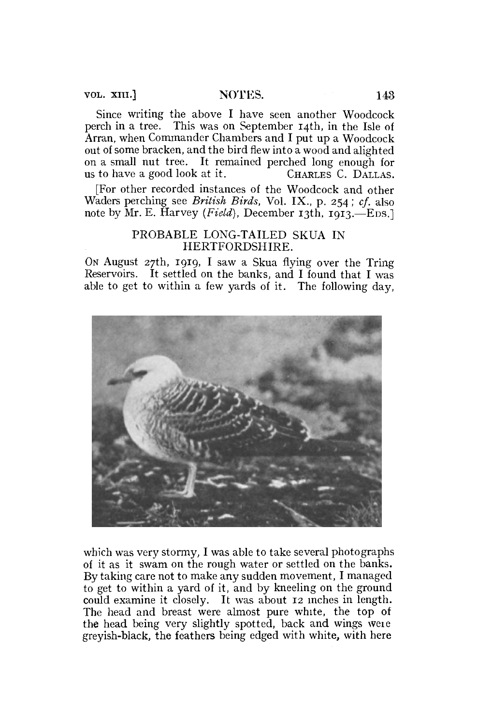Since writing the above I have seen another Woodcock perch in a tree. This was on September 14th, in the Isle of Arran, when Commander Chambers and I put up a Woodcock out of some bracken, and the bird flew into a wood and alighted on a small nut tree. It remained perched long enough for us to have a good look at it. CHARLES C. DALLAS.

[For other recorded instances of the Woodcock and other Waders perching see *British Birds,* Vol. IX., p. 254; *cf.* also note by Mr. E. Harvey *(Field),* December 13th, 1913.—EDS.]

## PROBABLE LONG-TAILED SKUA IN HERTFORDSHIRE.

ON August 27th, 1919, I saw a Skua flying over the Tring Reservoirs. It settled on the banks, and I found that I was able to get to within a few yards of it. The following day,



which was very stormy, I was able to take several photographs of it as it swam on the rough water or settled on the banks. By taking care not to make any sudden movement, I managed to get to within a yard of it, and by kneeling on the ground could examine it closely. It was about 12 inches in length. The head and breast were almost pure white, the top of the head being very slightly spotted, back and wings weie greyish-black, the feathers being edged with white, with here